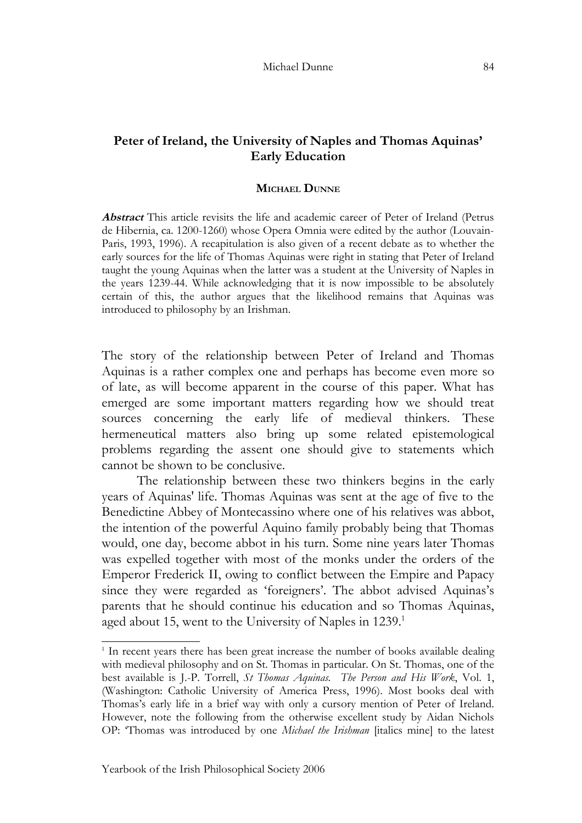# **Peter of Ireland, the University of Naples and Thomas Aquinas' Early Education**

### **MICHAEL DUNNE**

**Abstract** This article revisits the life and academic career of Peter of Ireland (Petrus de Hibernia, ca. 1200-1260) whose Opera Omnia were edited by the author (Louvain-Paris, 1993, 1996). A recapitulation is also given of a recent debate as to whether the early sources for the life of Thomas Aquinas were right in stating that Peter of Ireland taught the young Aquinas when the latter was a student at the University of Naples in the years 1239-44. While acknowledging that it is now impossible to be absolutely certain of this, the author argues that the likelihood remains that Aquinas was introduced to philosophy by an Irishman.

The story of the relationship between Peter of Ireland and Thomas Aquinas is a rather complex one and perhaps has become even more so of late, as will become apparent in the course of this paper. What has emerged are some important matters regarding how we should treat sources concerning the early life of medieval thinkers. These hermeneutical matters also bring up some related epistemological problems regarding the assent one should give to statements which cannot be shown to be conclusive.

The relationship between these two thinkers begins in the early years of Aquinas' life. Thomas Aquinas was sent at the age of five to the Benedictine Abbey of Montecassino where one of his relatives was abbot, the intention of the powerful Aquino family probably being that Thomas would, one day, become abbot in his turn. Some nine years later Thomas was expelled together with most of the monks under the orders of the Emperor Frederick II, owing to conflict between the Empire and Papacy since they were regarded as 'foreigners'. The abbot advised Aquinas's parents that he should continue his education and so Thomas Aquinas, aged about [1](#page-0-0)5, went to the University of Naples in 1239.<sup>1</sup>

<span id="page-0-0"></span><sup>&</sup>lt;sup>1</sup> In recent years there has been great increase the number of books available dealing with medieval philosophy and on St. Thomas in particular. On St. Thomas, one of the best available is J.-P. Torrell, *St Thomas Aquinas. The Person and His Work*, Vol. 1, (Washington: Catholic University of America Press, 1996). Most books deal with Thomas's early life in a brief way with only a cursory mention of Peter of Ireland. However, note the following from the otherwise excellent study by Aidan Nichols OP: 'Thomas was introduced by one *Michael the Irishman* [italics mine] to the latest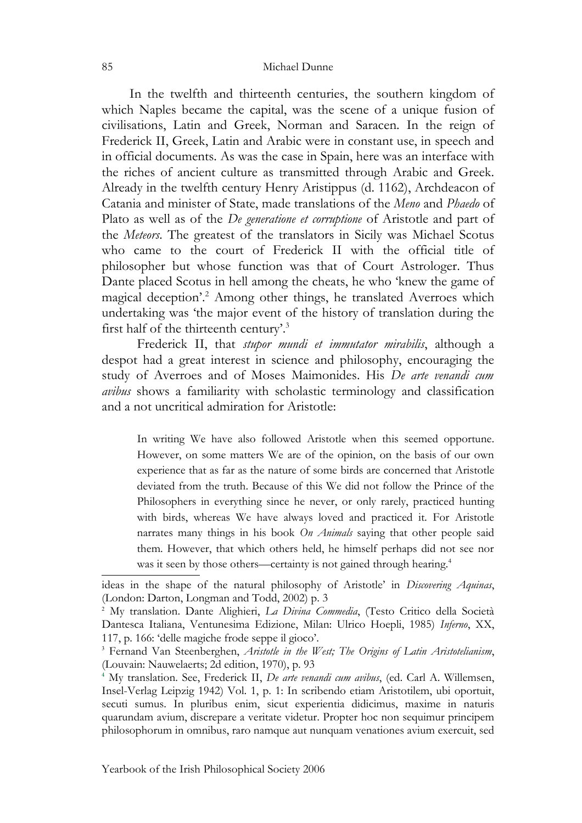In the twelfth and thirteenth centuries, the southern kingdom of which Naples became the capital, was the scene of a unique fusion of civilisations, Latin and Greek, Norman and Saracen. In the reign of Frederick II, Greek, Latin and Arabic were in constant use, in speech and in official documents. As was the case in Spain, here was an interface with the riches of ancient culture as transmitted through Arabic and Greek. Already in the twelfth century Henry Aristippus (d. 1162), Archdeacon of Catania and minister of State, made translations of the *Meno* and *Phaedo* of Plato as well as of the *De generatione et corruptione* of Aristotle and part of the *Meteors*. The greatest of the translators in Sicily was Michael Scotus who came to the court of Frederick II with the official title of philosopher but whose function was that of Court Astrologer. Thus Dante placed Scotus in hell among the cheats, he who 'knew the game of magical deception'. [2](#page-1-0) Among other things, he translated Averroes which undertaking was 'the major event of the history of translation during the first half of the thirteenth century'. [3](#page-1-1)

Frederick II, that *stupor mundi et immutator mirabilis*, although a despot had a great interest in science and philosophy, encouraging the study of Averroes and of Moses Maimonides. His *De arte venandi cum avibus* shows a familiarity with scholastic terminology and classification and a not uncritical admiration for Aristotle:

In writing We have also followed Aristotle when this seemed opportune. However, on some matters We are of the opinion, on the basis of our own experience that as far as the nature of some birds are concerned that Aristotle deviated from the truth. Because of this We did not follow the Prince of the Philosophers in everything since he never, or only rarely, practiced hunting with birds, whereas We have always loved and practiced it. For Aristotle narrates many things in his book *On Animals* saying that other people said them. However, that which others held, he himself perhaps did not see nor was it seen by those others—certainty is not gained through hearing.<sup>[4](#page-1-2)</sup>

ideas in the shape of the natural philosophy of Aristotle' in *Discovering Aquinas*, (London: Darton, Longman and Todd, 2002) p. 3

<span id="page-1-0"></span><sup>2</sup> My translation. Dante Alighieri, *La Divina Commedia*, (Testo Critico della Società Dantesca Italiana, Ventunesima Edizione, Milan: Ulrico Hoepli, 1985) *Inferno*, XX, 117, p. 166: 'delle magiche frode seppe il gioco'.

<span id="page-1-1"></span><sup>3</sup> Fernand Van Steenberghen, *Aristotle in the West; The Origins of Latin Aristotelianism*, (Louvain: Nauwelaerts; 2d edition, 1970), p. 93

<span id="page-1-2"></span><sup>4</sup> My translation. See, Frederick II, *De arte venandi cum avibus*, (ed. Carl A. Willemsen, Insel-Verlag Leipzig 1942) Vol. 1, p. 1: In scribendo etiam Aristotilem, ubi oportuit, secuti sumus. In pluribus enim, sicut experientia didicimus, maxime in naturis quarundam avium, discrepare a veritate videtur. Propter hoc non sequimur principem philosophorum in omnibus, raro namque aut nunquam venationes avium exercuit, sed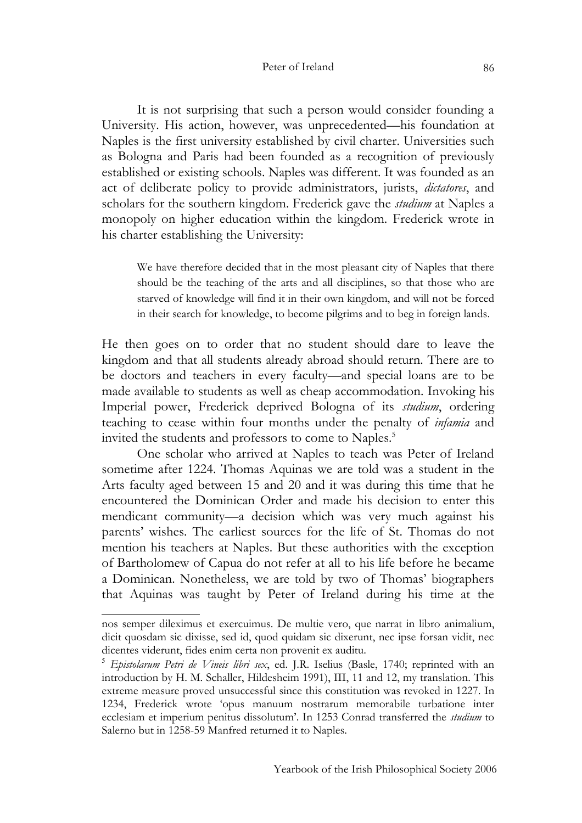## Peter of Ireland 86

It is not surprising that such a person would consider founding a University. His action, however, was unprecedented—his foundation at Naples is the first university established by civil charter. Universities such as Bologna and Paris had been founded as a recognition of previously established or existing schools. Naples was different. It was founded as an act of deliberate policy to provide administrators, jurists, *dictatores*, and scholars for the southern kingdom. Frederick gave the *studium* at Naples a monopoly on higher education within the kingdom. Frederick wrote in his charter establishing the University:

We have therefore decided that in the most pleasant city of Naples that there should be the teaching of the arts and all disciplines, so that those who are starved of knowledge will find it in their own kingdom, and will not be forced in their search for knowledge, to become pilgrims and to beg in foreign lands.

He then goes on to order that no student should dare to leave the kingdom and that all students already abroad should return. There are to be doctors and teachers in every faculty—and special loans are to be made available to students as well as cheap accommodation. Invoking his Imperial power, Frederick deprived Bologna of its *studium*, ordering teaching to cease within four months under the penalty of *infamia* and invited the students and professors to come to Naples. [5](#page-2-0)

One scholar who arrived at Naples to teach was Peter of Ireland sometime after 1224. Thomas Aquinas we are told was a student in the Arts faculty aged between 15 and 20 and it was during this time that he encountered the Dominican Order and made his decision to enter this mendicant community—a decision which was very much against his parents' wishes. The earliest sources for the life of St. Thomas do not mention his teachers at Naples. But these authorities with the exception of Bartholomew of Capua do not refer at all to his life before he became a Dominican. Nonetheless, we are told by two of Thomas' biographers that Aquinas was taught by Peter of Ireland during his time at the

nos semper dileximus et exercuimus. De multie vero, que narrat in libro animalium, dicit quosdam sic dixisse, sed id, quod quidam sic dixerunt, nec ipse forsan vidit, nec dicentes viderunt, fides enim certa non provenit ex auditu.

<span id="page-2-0"></span><sup>5</sup> *Epistolarum Petri de Vineis libri sex*, ed. J.R. Iselius (Basle, 1740; reprinted with an introduction by H. M. Schaller, Hildesheim 1991), III, 11 and 12, my translation. This extreme measure proved unsuccessful since this constitution was revoked in 1227. In 1234, Frederick wrote 'opus manuum nostrarum memorabile turbatione inter ecclesiam et imperium penitus dissolutum'. In 1253 Conrad transferred the *studium* to Salerno but in 1258-59 Manfred returned it to Naples.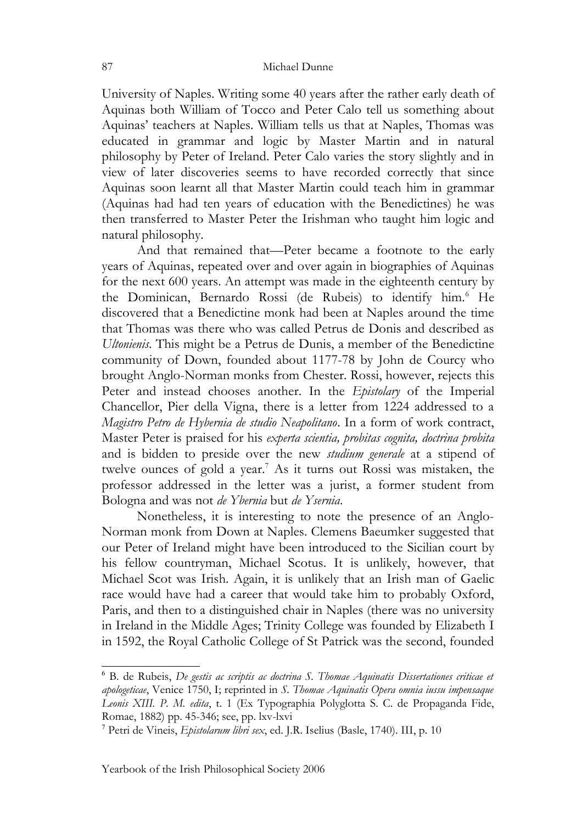University of Naples. Writing some 40 years after the rather early death of Aquinas both William of Tocco and Peter Calo tell us something about Aquinas' teachers at Naples. William tells us that at Naples, Thomas was educated in grammar and logic by Master Martin and in natural philosophy by Peter of Ireland. Peter Calo varies the story slightly and in view of later discoveries seems to have recorded correctly that since Aquinas soon learnt all that Master Martin could teach him in grammar (Aquinas had had ten years of education with the Benedictines) he was then transferred to Master Peter the Irishman who taught him logic and natural philosophy.

And that remained that—Peter became a footnote to the early years of Aquinas, repeated over and over again in biographies of Aquinas for the next 600 years. An attempt was made in the eighteenth century by the Dominican, Bernardo Rossi (de Rubeis) to identify him. [6](#page-3-0) He discovered that a Benedictine monk had been at Naples around the time that Thomas was there who was called Petrus de Donis and described as *Ultonienis*. This might be a Petrus de Dunis, a member of the Benedictine community of Down, founded about 1177-78 by John de Courcy who brought Anglo-Norman monks from Chester. Rossi, however, rejects this Peter and instead chooses another. In the *Epistolary* of the Imperial Chancellor, Pier della Vigna, there is a letter from 1224 addressed to a *Magistro Petro de Hybernia de studio Neapolitano*. In a form of work contract, Master Peter is praised for his *experta scientia, probitas cognita, doctrina probita* and is bidden to preside over the new *studium generale* at a stipend of twelve ounces of gold a year. [7](#page-3-1) As it turns out Rossi was mistaken, the professor addressed in the letter was a jurist, a former student from Bologna and was not *de Ybernia* but *de Ysernia*.

Nonetheless, it is interesting to note the presence of an Anglo-Norman monk from Down at Naples. Clemens Baeumker suggested that our Peter of Ireland might have been introduced to the Sicilian court by his fellow countryman, Michael Scotus. It is unlikely, however, that Michael Scot was Irish. Again, it is unlikely that an Irish man of Gaelic race would have had a career that would take him to probably Oxford, Paris, and then to a distinguished chair in Naples (there was no university in Ireland in the Middle Ages; Trinity College was founded by Elizabeth I in 1592, the Royal Catholic College of St Patrick was the second, founded

<span id="page-3-0"></span><sup>6</sup> B. de Rubeis, *De gestis ac scriptis ac doctrina S. Thomae Aquinatis Dissertationes criticae et apologeticae*, Venice 1750, I; reprinted in *S. Thomae Aquinatis Opera omnia iussu impensaque Leonis XIII. P. M. edita*, t. 1 (Ex Typographia Polyglotta S. C. de Propaganda Fide, Romae, 1882) pp. 45-346; see, pp. lxv-lxvi

<span id="page-3-1"></span><sup>7</sup> Petri de Vineis, *Epistolarum libri sex*, ed. J.R. Iselius (Basle, 1740). III, p. 10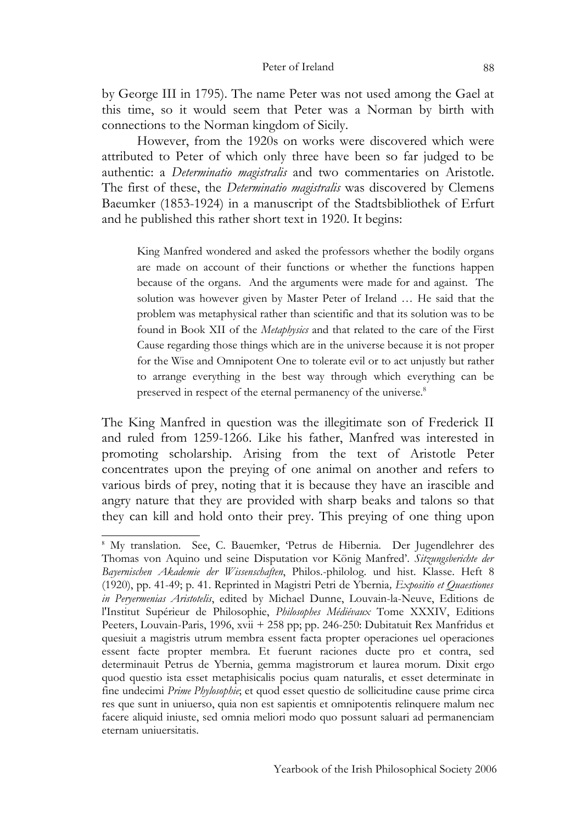## Peter of Ireland 88

by George III in 1795). The name Peter was not used among the Gael at this time, so it would seem that Peter was a Norman by birth with connections to the Norman kingdom of Sicily.

However, from the 1920s on works were discovered which were attributed to Peter of which only three have been so far judged to be authentic: a *Determinatio magistralis* and two commentaries on Aristotle. The first of these, the *Determinatio magistralis* was discovered by Clemens Baeumker (1853-1924) in a manuscript of the Stadtsbibliothek of Erfurt and he published this rather short text in 1920. It begins:

King Manfred wondered and asked the professors whether the bodily organs are made on account of their functions or whether the functions happen because of the organs. And the arguments were made for and against. The solution was however given by Master Peter of Ireland … He said that the problem was metaphysical rather than scientific and that its solution was to be found in Book XII of the *Metaphysics* and that related to the care of the First Cause regarding those things which are in the universe because it is not proper for the Wise and Omnipotent One to tolerate evil or to act unjustly but rather to arrange everything in the best way through which everything can be preserved in respect of the eternal permanency of the universe.<sup>[8](#page-4-0)</sup>

The King Manfred in question was the illegitimate son of Frederick II and ruled from 1259-1266. Like his father, Manfred was interested in promoting scholarship. Arising from the text of Aristotle Peter concentrates upon the preying of one animal on another and refers to various birds of prey, noting that it is because they have an irascible and angry nature that they are provided with sharp beaks and talons so that they can kill and hold onto their prey. This preying of one thing upon

<span id="page-4-0"></span><sup>8</sup> My translation. See, C. Bauemker, 'Petrus de Hibernia. Der Jugendlehrer des Thomas von Aquino und seine Disputation vor König Manfred'. *Sitzungsberichte der Bayernischen Akademie der Wissenschaften*, Philos.-philolog. und hist. Klasse. Heft 8 (1920), pp. 41-49; p. 41. Reprinted in Magistri Petri de Ybernia*, Expositio et Quaestiones in Peryermenias Aristotelis*, edited by Michael Dunne, Louvain-la-Neuve, Editions de l'Institut Supérieur de Philosophie, *Philosophes Médiévaux* Tome XXXIV, Editions Peeters, Louvain-Paris, 1996, xvii + 258 pp; pp. 246-250: Dubitatuit Rex Manfridus et quesiuit a magistris utrum membra essent facta propter operaciones uel operaciones essent facte propter membra. Et fuerunt raciones ducte pro et contra, sed determinauit Petrus de Ybernia, gemma magistrorum et laurea morum. Dixit ergo quod questio ista esset metaphisicalis pocius quam naturalis, et esset determinate in fine undecimi *Prime Phylosophie*; et quod esset questio de sollicitudine cause prime circa res que sunt in uniuerso, quia non est sapientis et omnipotentis relinquere malum nec facere aliquid iniuste, sed omnia meliori modo quo possunt saluari ad permanenciam eternam uniuersitatis.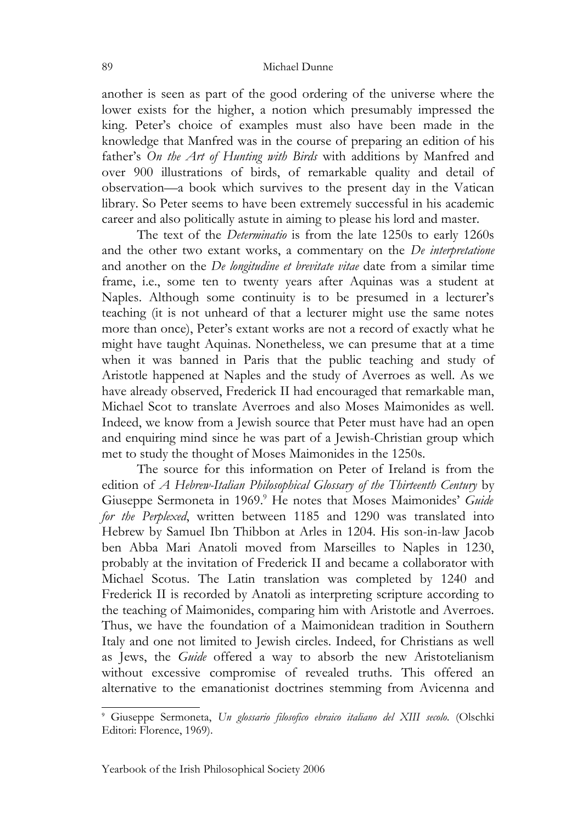another is seen as part of the good ordering of the universe where the lower exists for the higher, a notion which presumably impressed the king. Peter's choice of examples must also have been made in the knowledge that Manfred was in the course of preparing an edition of his father's *On the Art of Hunting with Birds* with additions by Manfred and over 900 illustrations of birds, of remarkable quality and detail of observation—a book which survives to the present day in the Vatican library. So Peter seems to have been extremely successful in his academic career and also politically astute in aiming to please his lord and master.

The text of the *Determinatio* is from the late 1250s to early 1260s and the other two extant works, a commentary on the *De interpretatione* and another on the *De longitudine et brevitate vitae* date from a similar time frame, i.e., some ten to twenty years after Aquinas was a student at Naples. Although some continuity is to be presumed in a lecturer's teaching (it is not unheard of that a lecturer might use the same notes more than once), Peter's extant works are not a record of exactly what he might have taught Aquinas. Nonetheless, we can presume that at a time when it was banned in Paris that the public teaching and study of Aristotle happened at Naples and the study of Averroes as well. As we have already observed, Frederick II had encouraged that remarkable man, Michael Scot to translate Averroes and also Moses Maimonides as well. Indeed, we know from a Jewish source that Peter must have had an open and enquiring mind since he was part of a Jewish-Christian group which met to study the thought of Moses Maimonides in the 1250s.

The source for this information on Peter of Ireland is from the edition of *A Hebrew-Italian Philosophical Glossary of the Thirteenth Century* by Giuseppe Sermoneta in 1969. [9](#page-5-0) He notes that Moses Maimonides' *Guide for the Perplexed*, written between 1185 and 1290 was translated into Hebrew by Samuel Ibn Thibbon at Arles in 1204. His son-in-law Jacob ben Abba Mari Anatoli moved from Marseilles to Naples in 1230, probably at the invitation of Frederick II and became a collaborator with Michael Scotus. The Latin translation was completed by 1240 and Frederick II is recorded by Anatoli as interpreting scripture according to the teaching of Maimonides, comparing him with Aristotle and Averroes. Thus, we have the foundation of a Maimonidean tradition in Southern Italy and one not limited to Jewish circles. Indeed, for Christians as well as Jews, the *Guide* offered a way to absorb the new Aristotelianism without excessive compromise of revealed truths. This offered an alternative to the emanationist doctrines stemming from Avicenna and

<span id="page-5-0"></span><sup>9</sup> Giuseppe Sermoneta, *Un glossario filosofico ebraico italiano del XIII secolo*. (Olschki Editori: Florence, 1969).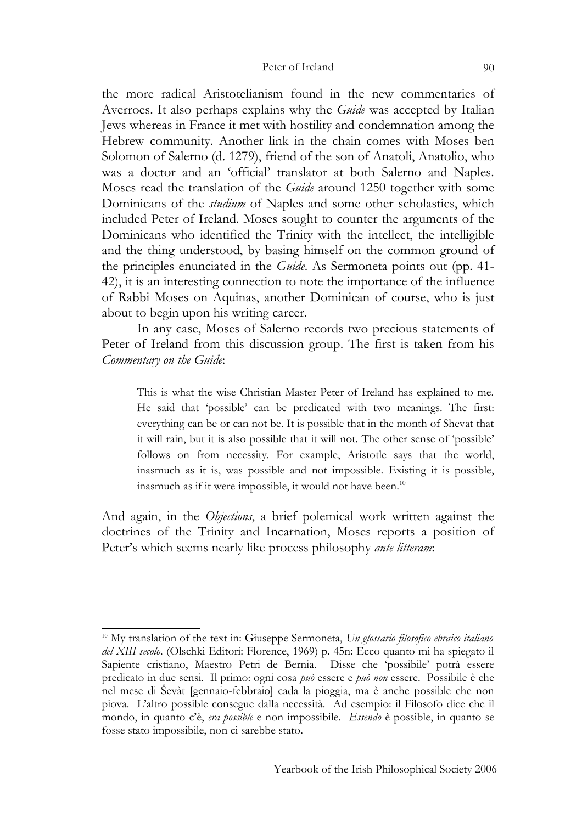the more radical Aristotelianism found in the new commentaries of Averroes. It also perhaps explains why the *Guide* was accepted by Italian Jews whereas in France it met with hostility and condemnation among the Hebrew community. Another link in the chain comes with Moses ben Solomon of Salerno (d. 1279), friend of the son of Anatoli, Anatolio, who was a doctor and an 'official' translator at both Salerno and Naples. Moses read the translation of the *Guide* around 1250 together with some Dominicans of the *studium* of Naples and some other scholastics, which included Peter of Ireland. Moses sought to counter the arguments of the Dominicans who identified the Trinity with the intellect, the intelligible and the thing understood, by basing himself on the common ground of the principles enunciated in the *Guide*. As Sermoneta points out (pp. 41- 42), it is an interesting connection to note the importance of the influence of Rabbi Moses on Aquinas, another Dominican of course, who is just about to begin upon his writing career.

In any case, Moses of Salerno records two precious statements of Peter of Ireland from this discussion group. The first is taken from his *Commentary on the Guide*:

This is what the wise Christian Master Peter of Ireland has explained to me. He said that 'possible' can be predicated with two meanings. The first: everything can be or can not be. It is possible that in the month of Shevat that it will rain, but it is also possible that it will not. The other sense of 'possible' follows on from necessity. For example, Aristotle says that the world, inasmuch as it is, was possible and not impossible. Existing it is possible, inasmuch as if it were impossible, it would not have been.<sup>[10](#page-6-0)</sup>

And again, in the *Objections*, a brief polemical work written against the doctrines of the Trinity and Incarnation, Moses reports a position of Peter's which seems nearly like process philosophy *ante litteram*:

<span id="page-6-0"></span><sup>10</sup> My translation of the text in: Giuseppe Sermoneta, *Un glossario filosofico ebraico italiano del XIII secolo*. (Olschki Editori: Florence, 1969) p. 45n: Ecco quanto mi ha spiegato il Sapiente cristiano, Maestro Petri de Bernia. Disse che 'possibile' potrà essere predicato in due sensi. Il primo: ogni cosa *può* essere e *può non* essere. Possibile è che nel mese di Ševàt [gennaio-febbraio] cada la pioggia, ma è anche possible che non piova. L'altro possible consegue dalla necessità. Ad esempio: il Filosofo dice che il mondo, in quanto c'è, *era possible* e non impossibile. *Essendo* è possible, in quanto se fosse stato impossibile, non ci sarebbe stato.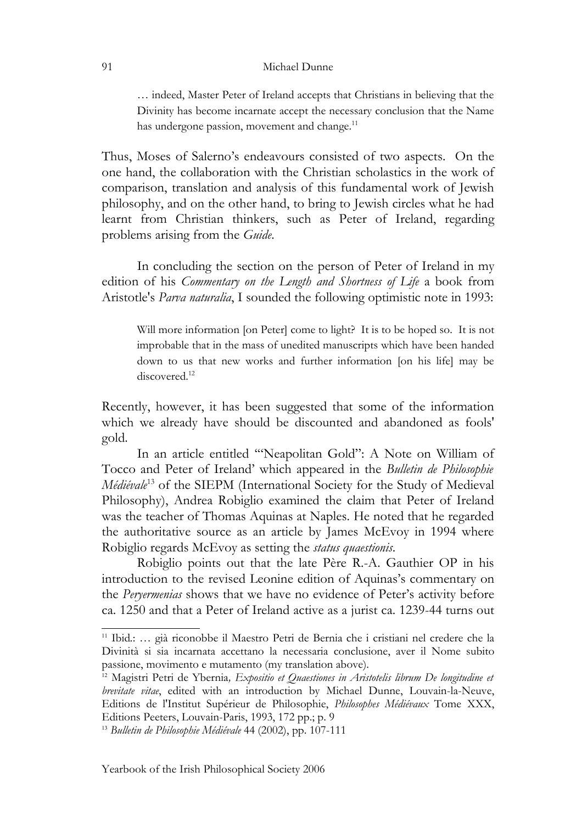… indeed, Master Peter of Ireland accepts that Christians in believing that the Divinity has become incarnate accept the necessary conclusion that the Name has undergone passion, movement and change.<sup>[11](#page-7-0)</sup>

Thus, Moses of Salerno's endeavours consisted of two aspects. On the one hand, the collaboration with the Christian scholastics in the work of comparison, translation and analysis of this fundamental work of Jewish philosophy, and on the other hand, to bring to Jewish circles what he had learnt from Christian thinkers, such as Peter of Ireland, regarding problems arising from the *Guide*.

In concluding the section on the person of Peter of Ireland in my edition of his *Commentary on the Length and Shortness of Life* a book from Aristotle's *Parva naturalia*, I sounded the following optimistic note in 1993:

Will more information [on Peter] come to light? It is to be hoped so. It is not improbable that in the mass of unedited manuscripts which have been handed down to us that new works and further information [on his life] may be discovered.<sup>[12](#page-7-1)</sup>

Recently, however, it has been suggested that some of the information which we already have should be discounted and abandoned as fools' gold.

In an article entitled '"Neapolitan Gold": A Note on William of Tocco and Peter of Ireland' which appeared in the *Bulletin de Philosophie Médiévale* [13](#page-7-2) of the SIEPM (International Society for the Study of Medieval Philosophy), Andrea Robiglio examined the claim that Peter of Ireland was the teacher of Thomas Aquinas at Naples. He noted that he regarded the authoritative source as an article by James McEvoy in 1994 where Robiglio regards McEvoy as setting the *status quaestionis*.

Robiglio points out that the late Père R.-A. Gauthier OP in his introduction to the revised Leonine edition of Aquinas's commentary on the *Peryermenias* shows that we have no evidence of Peter's activity before ca. 1250 and that a Peter of Ireland active as a jurist ca. 1239-44 turns out

91

<span id="page-7-0"></span><sup>11</sup> Ibid*.*: … già riconobbe il Maestro Petri de Bernia che i cristiani nel credere che la Divinità si sia incarnata accettano la necessaria conclusione, aver il Nome subito passione, movimento e mutamento (my translation above).

<span id="page-7-1"></span><sup>12</sup> Magistri Petri de Ybernia*, Expositio et Quaestiones in Aristotelis librum De longitudine et brevitate vitae*, edited with an introduction by Michael Dunne, Louvain-la-Neuve, Editions de l'Institut Supérieur de Philosophie, *Philosophes Médiévaux* Tome XXX, Editions Peeters, Louvain-Paris, 1993, 172 pp.; p. 9

<span id="page-7-2"></span><sup>13</sup> *Bulletin de Philosophie Médiévale* 44 (2002), pp. 107-111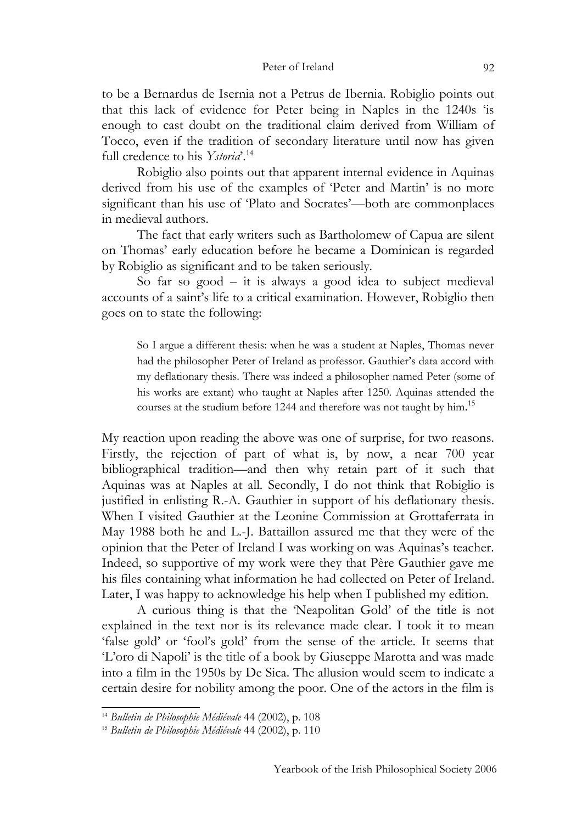to be a Bernardus de Isernia not a Petrus de Ibernia. Robiglio points out that this lack of evidence for Peter being in Naples in the 1240s 'is enough to cast doubt on the traditional claim derived from William of Tocco, even if the tradition of secondary literature until now has given full credence to his *Ystoria*'. [14](#page-8-0)

Robiglio also points out that apparent internal evidence in Aquinas derived from his use of the examples of 'Peter and Martin' is no more significant than his use of 'Plato and Socrates'—both are commonplaces in medieval authors.

The fact that early writers such as Bartholomew of Capua are silent on Thomas' early education before he became a Dominican is regarded by Robiglio as significant and to be taken seriously.

So far so good – it is always a good idea to subject medieval accounts of a saint's life to a critical examination. However, Robiglio then goes on to state the following:

So I argue a different thesis: when he was a student at Naples, Thomas never had the philosopher Peter of Ireland as professor. Gauthier's data accord with my deflationary thesis. There was indeed a philosopher named Peter (some of his works are extant) who taught at Naples after 1250. Aquinas attended the courses at the studium before 1244 and therefore was not taught by him.<sup>[15](#page-8-1)</sup>

My reaction upon reading the above was one of surprise, for two reasons. Firstly, the rejection of part of what is, by now, a near 700 year bibliographical tradition—and then why retain part of it such that Aquinas was at Naples at all. Secondly, I do not think that Robiglio is justified in enlisting R.-A. Gauthier in support of his deflationary thesis. When I visited Gauthier at the Leonine Commission at Grottaferrata in May 1988 both he and L.-J. Battaillon assured me that they were of the opinion that the Peter of Ireland I was working on was Aquinas's teacher. Indeed, so supportive of my work were they that Père Gauthier gave me his files containing what information he had collected on Peter of Ireland. Later, I was happy to acknowledge his help when I published my edition.

A curious thing is that the 'Neapolitan Gold' of the title is not explained in the text nor is its relevance made clear. I took it to mean 'false gold' or 'fool's gold' from the sense of the article. It seems that 'L'oro di Napoli' is the title of a book by Giuseppe Marotta and was made into a film in the 1950s by De Sica. The allusion would seem to indicate a certain desire for nobility among the poor. One of the actors in the film is

<span id="page-8-0"></span><sup>14</sup> *Bulletin de Philosophie Médiévale* 44 (2002), p. 108

<span id="page-8-1"></span><sup>15</sup> *Bulletin de Philosophie Médiévale* 44 (2002), p. 110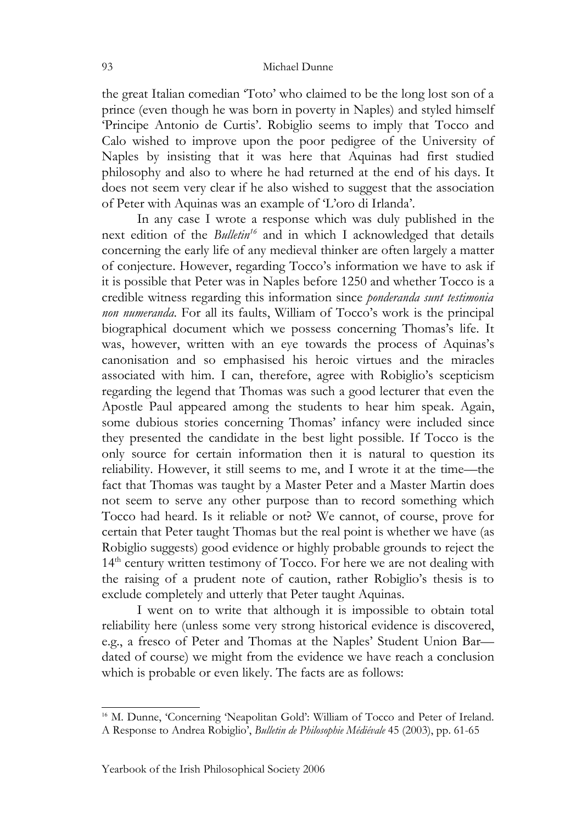the great Italian comedian 'Toto' who claimed to be the long lost son of a prince (even though he was born in poverty in Naples) and styled himself 'Principe Antonio de Curtis'. Robiglio seems to imply that Tocco and Calo wished to improve upon the poor pedigree of the University of Naples by insisting that it was here that Aquinas had first studied philosophy and also to where he had returned at the end of his days. It does not seem very clear if he also wished to suggest that the association of Peter with Aquinas was an example of 'L'oro di Irlanda'.

In any case I wrote a response which was duly published in the next edition of the *Bulletin [16](#page-9-0)* and in which I acknowledged that details concerning the early life of any medieval thinker are often largely a matter of conjecture. However, regarding Tocco's information we have to ask if it is possible that Peter was in Naples before 1250 and whether Tocco is a credible witness regarding this information since *ponderanda sunt testimonia non numeranda*. For all its faults, William of Tocco's work is the principal biographical document which we possess concerning Thomas's life. It was, however, written with an eye towards the process of Aquinas's canonisation and so emphasised his heroic virtues and the miracles associated with him. I can, therefore, agree with Robiglio's scepticism regarding the legend that Thomas was such a good lecturer that even the Apostle Paul appeared among the students to hear him speak. Again, some dubious stories concerning Thomas' infancy were included since they presented the candidate in the best light possible. If Tocco is the only source for certain information then it is natural to question its reliability. However, it still seems to me, and I wrote it at the time—the fact that Thomas was taught by a Master Peter and a Master Martin does not seem to serve any other purpose than to record something which Tocco had heard. Is it reliable or not? We cannot, of course, prove for certain that Peter taught Thomas but the real point is whether we have (as Robiglio suggests) good evidence or highly probable grounds to reject the 14<sup>th</sup> century written testimony of Tocco. For here we are not dealing with the raising of a prudent note of caution, rather Robiglio's thesis is to exclude completely and utterly that Peter taught Aquinas.

I went on to write that although it is impossible to obtain total reliability here (unless some very strong historical evidence is discovered, e.g., a fresco of Peter and Thomas at the Naples' Student Union Bar dated of course) we might from the evidence we have reach a conclusion which is probable or even likely. The facts are as follows:

<span id="page-9-0"></span><sup>&</sup>lt;sup>16</sup> M. Dunne, 'Concerning 'Neapolitan Gold': William of Tocco and Peter of Ireland. A Response to Andrea Robiglio', *Bulletin de Philosophie Médiévale* 45 (2003), pp. 61-65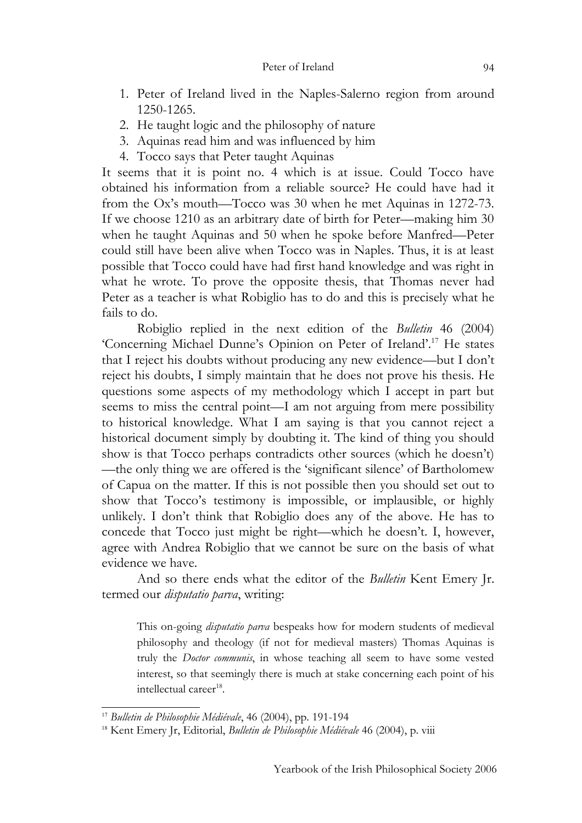- 1. Peter of Ireland lived in the Naples-Salerno region from around 1250-1265.
- 2. He taught logic and the philosophy of nature
- 3. Aquinas read him and was influenced by him
- 4. Tocco says that Peter taught Aquinas

It seems that it is point no. 4 which is at issue. Could Tocco have obtained his information from a reliable source? He could have had it from the Ox's mouth—Tocco was 30 when he met Aquinas in 1272-73. If we choose 1210 as an arbitrary date of birth for Peter—making him 30 when he taught Aquinas and 50 when he spoke before Manfred—Peter could still have been alive when Tocco was in Naples. Thus, it is at least possible that Tocco could have had first hand knowledge and was right in what he wrote. To prove the opposite thesis, that Thomas never had Peter as a teacher is what Robiglio has to do and this is precisely what he fails to do.

Robiglio replied in the next edition of the *Bulletin* 46 (2004) 'Concerning Michael Dunne's Opinion on Peter of Ireland'. [17](#page-10-0) He states that I reject his doubts without producing any new evidence—but I don't reject his doubts, I simply maintain that he does not prove his thesis. He questions some aspects of my methodology which I accept in part but seems to miss the central point—I am not arguing from mere possibility to historical knowledge. What I am saying is that you cannot reject a historical document simply by doubting it. The kind of thing you should show is that Tocco perhaps contradicts other sources (which he doesn't) —the only thing we are offered is the 'significant silence' of Bartholomew of Capua on the matter. If this is not possible then you should set out to show that Tocco's testimony is impossible, or implausible, or highly unlikely. I don't think that Robiglio does any of the above. He has to concede that Tocco just might be right—which he doesn't. I, however, agree with Andrea Robiglio that we cannot be sure on the basis of what evidence we have.

And so there ends what the editor of the *Bulletin* Kent Emery Jr. termed our *disputatio parva*, writing:

This on-going *disputatio parva* bespeaks how for modern students of medieval philosophy and theology (if not for medieval masters) Thomas Aquinas is truly the *Doctor communis*, in whose teaching all seem to have some vested interest, so that seemingly there is much at stake concerning each point of his intellectual career<sup>[18](#page-10-1)</sup>.

<span id="page-10-0"></span><sup>17</sup> *Bulletin de Philosophie Médiévale*, 46 (2004), pp. 191-194

<span id="page-10-1"></span><sup>&</sup>lt;sup>18</sup> Kent Emery Jr, Editorial, *Bulletin de Philosophie Médiévale* 46 (2004), p. viii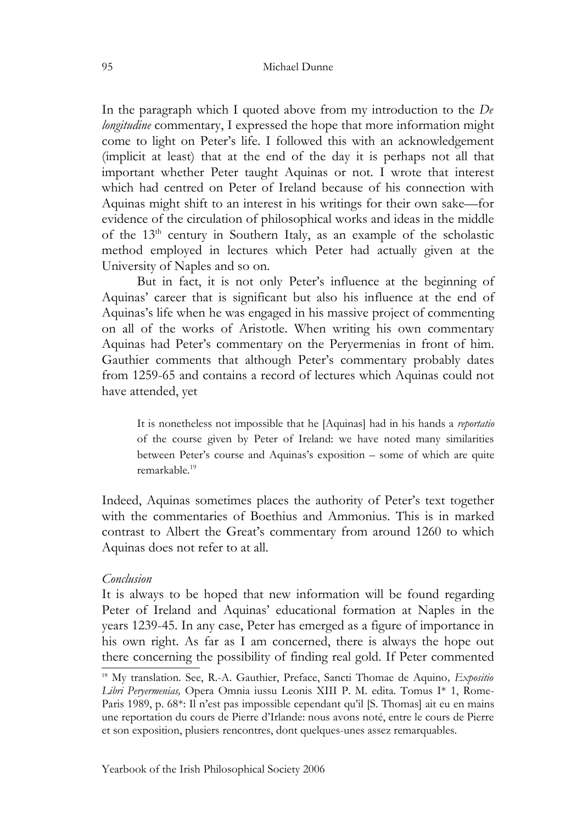In the paragraph which I quoted above from my introduction to the *De longitudine* commentary, I expressed the hope that more information might come to light on Peter's life. I followed this with an acknowledgement (implicit at least) that at the end of the day it is perhaps not all that important whether Peter taught Aquinas or not. I wrote that interest which had centred on Peter of Ireland because of his connection with Aquinas might shift to an interest in his writings for their own sake—for evidence of the circulation of philosophical works and ideas in the middle of the 13<sup>th</sup> century in Southern Italy, as an example of the scholastic method employed in lectures which Peter had actually given at the University of Naples and so on.

But in fact, it is not only Peter's influence at the beginning of Aquinas' career that is significant but also his influence at the end of Aquinas's life when he was engaged in his massive project of commenting on all of the works of Aristotle. When writing his own commentary Aquinas had Peter's commentary on the Peryermenias in front of him. Gauthier comments that although Peter's commentary probably dates from 1259-65 and contains a record of lectures which Aquinas could not have attended, yet

It is nonetheless not impossible that he [Aquinas] had in his hands a *reportatio* of the course given by Peter of Ireland: we have noted many similarities between Peter's course and Aquinas's exposition – some of which are quite remarkable.[19](#page-11-0)

Indeed, Aquinas sometimes places the authority of Peter's text together with the commentaries of Boethius and Ammonius. This is in marked contrast to Albert the Great's commentary from around 1260 to which Aquinas does not refer to at all.

## *Conclusion*

It is always to be hoped that new information will be found regarding Peter of Ireland and Aquinas' educational formation at Naples in the years 1239-45. In any case, Peter has emerged as a figure of importance in his own right. As far as I am concerned, there is always the hope out there concerning the possibility of finding real gold. If Peter commented

<span id="page-11-0"></span><sup>19</sup> My translation. See, R.-A. Gauthier, Preface, Sancti Thomae de Aquino*, Expositio Libri Peryermenias,* Opera Omnia iussu Leonis XIII P. M. edita. Tomus I\* 1, Rome-Paris 1989, p. 68\*: Il n'est pas impossible cependant qu'il [S. Thomas] ait eu en mains une reportation du cours de Pierre d'Irlande: nous avons noté, entre le cours de Pierre et son exposition, plusiers rencontres, dont quelques-unes assez remarquables.